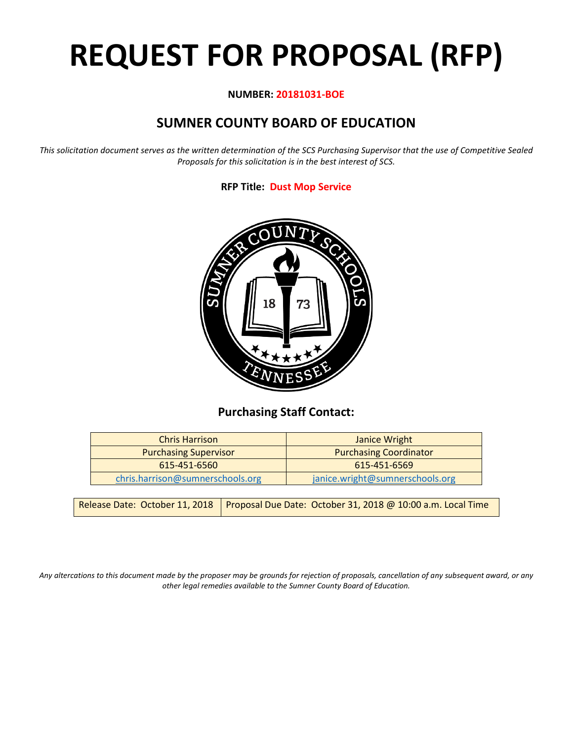# **REQUEST FOR PROPOSAL (RFP)**

# **NUMBER: 20181031-BOE**

# **SUMNER COUNTY BOARD OF EDUCATION**

*This solicitation document serves as the written determination of the SCS Purchasing Supervisor that the use of Competitive Sealed Proposals for this solicitation is in the best interest of SCS.*

# **RFP Title: Dust Mop Service**



# **Purchasing Staff Contact:**

| <b>Chris Harrison</b>            | Janice Wright                   |  |  |
|----------------------------------|---------------------------------|--|--|
| <b>Purchasing Supervisor</b>     | <b>Purchasing Coordinator</b>   |  |  |
| 615-451-6560                     | 615-451-6569                    |  |  |
| chris.harrison@sumnerschools.org | janice.wright@sumnerschools.org |  |  |

|  | Release Date: October 11, 2018   Proposal Due Date: October 31, 2018 @ 10:00 a.m. Local Time |
|--|----------------------------------------------------------------------------------------------|
|--|----------------------------------------------------------------------------------------------|

*Any altercations to this document made by the proposer may be grounds for rejection of proposals, cancellation of any subsequent award, or any other legal remedies available to the Sumner County Board of Education.*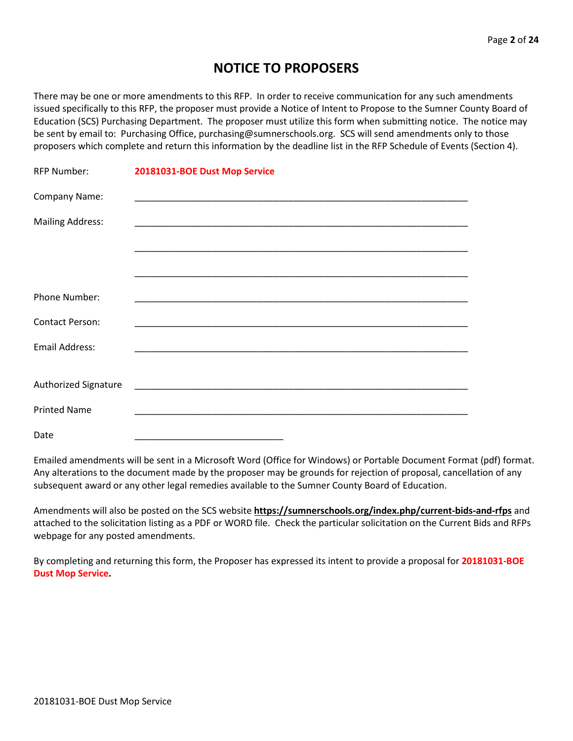# **NOTICE TO PROPOSERS**

There may be one or more amendments to this RFP. In order to receive communication for any such amendments issued specifically to this RFP, the proposer must provide a Notice of Intent to Propose to the Sumner County Board of Education (SCS) Purchasing Department. The proposer must utilize this form when submitting notice. The notice may be sent by email to: Purchasing Office, purchasing@sumnerschools.org. SCS will send amendments only to those proposers which complete and return this information by the deadline list in the RFP Schedule of Events (Section 4).

| <b>RFP Number:</b>      | 20181031-BOE Dust Mop Service |
|-------------------------|-------------------------------|
| Company Name:           |                               |
| <b>Mailing Address:</b> |                               |
|                         |                               |
|                         |                               |
| Phone Number:           |                               |
| <b>Contact Person:</b>  |                               |
| <b>Email Address:</b>   |                               |
|                         |                               |
| Authorized Signature    |                               |
| <b>Printed Name</b>     |                               |
| Date                    |                               |

Emailed amendments will be sent in a Microsoft Word (Office for Windows) or Portable Document Format (pdf) format. Any alterations to the document made by the proposer may be grounds for rejection of proposal, cancellation of any subsequent award or any other legal remedies available to the Sumner County Board of Education.

Amendments will also be posted on the SCS website **https://sumnerschools.org/index.php/current-bids-and-rfps** and attached to the solicitation listing as a PDF or WORD file. Check the particular solicitation on the Current Bids and RFPs webpage for any posted amendments.

By completing and returning this form, the Proposer has expressed its intent to provide a proposal for **20181031-BOE Dust Mop Service.**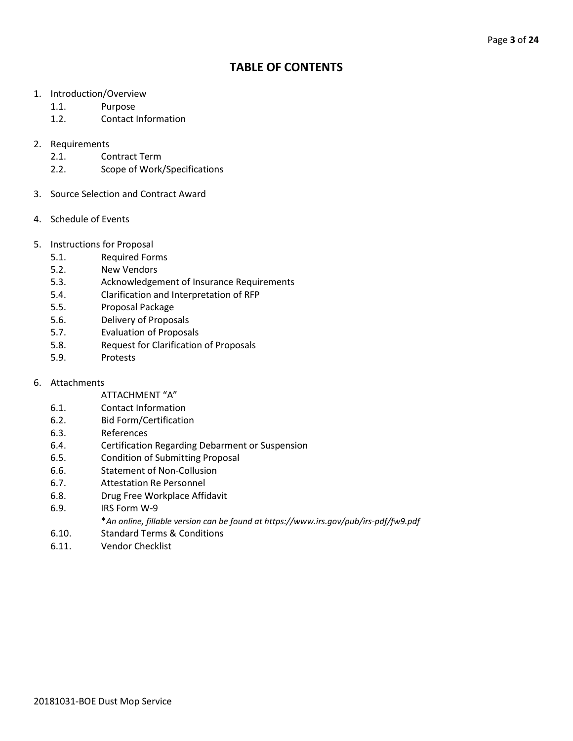# **TABLE OF CONTENTS**

- 1. Introduction/Overview
	- 1.1. Purpose
	- 1.2. Contact Information

# 2. Requirements

- 2.1. Contract Term
- 2.2. Scope of Work/Specifications
- 3. Source Selection and Contract Award
- 4. Schedule of Events
- 5. Instructions for Proposal
	- 5.1. Required Forms
	- 5.2. New Vendors
	- 5.3. Acknowledgement of Insurance Requirements
	- 5.4. Clarification and Interpretation of RFP
	- 5.5. Proposal Package
	- 5.6. Delivery of Proposals
	- 5.7. Evaluation of Proposals
	- 5.8. Request for Clarification of Proposals
	- 5.9. Protests
- 6. Attachments
	- ATTACHMENT "A"
	- 6.1. Contact Information
	- 6.2. Bid Form/Certification
	- 6.3. References
	- 6.4. Certification Regarding Debarment or Suspension
	- 6.5. Condition of Submitting Proposal
	- 6.6. Statement of Non-Collusion
	- 6.7. Attestation Re Personnel
	- 6.8. Drug Free Workplace Affidavit
	- 6.9. IRS Form W-9
		- \**An online, fillable version can be found at https://www.irs.gov/pub/irs-pdf/fw9.pdf*
	- 6.10. Standard Terms & Conditions
	- 6.11. Vendor Checklist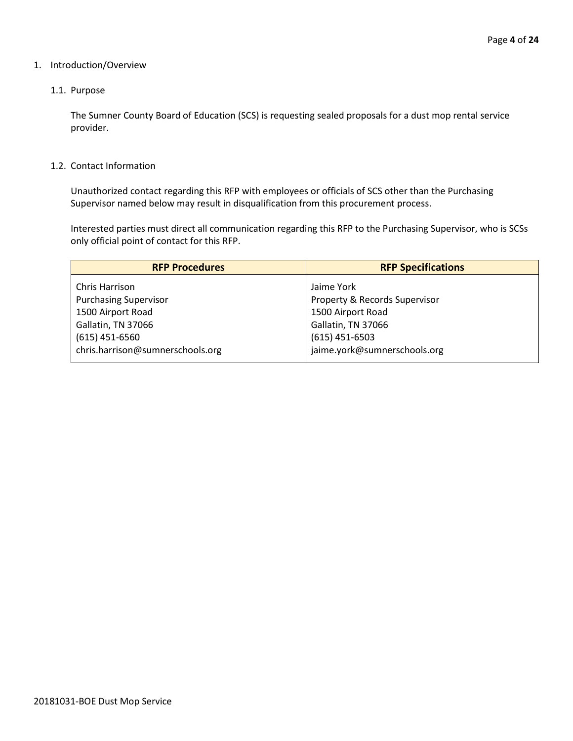#### 1. Introduction/Overview

# 1.1. Purpose

The Sumner County Board of Education (SCS) is requesting sealed proposals for a dust mop rental service provider.

#### 1.2. Contact Information

Unauthorized contact regarding this RFP with employees or officials of SCS other than the Purchasing Supervisor named below may result in disqualification from this procurement process.

Interested parties must direct all communication regarding this RFP to the Purchasing Supervisor, who is SCSs only official point of contact for this RFP.

| <b>RFP Procedures</b>                          | <b>RFP Specifications</b>                   |  |  |
|------------------------------------------------|---------------------------------------------|--|--|
| Chris Harrison<br><b>Purchasing Supervisor</b> | Jaime York<br>Property & Records Supervisor |  |  |
| 1500 Airport Road                              | 1500 Airport Road                           |  |  |
| Gallatin, TN 37066<br>$(615)$ 451-6560         | Gallatin, TN 37066<br>$(615)$ 451-6503      |  |  |
| chris.harrison@sumnerschools.org               | jaime.york@sumnerschools.org                |  |  |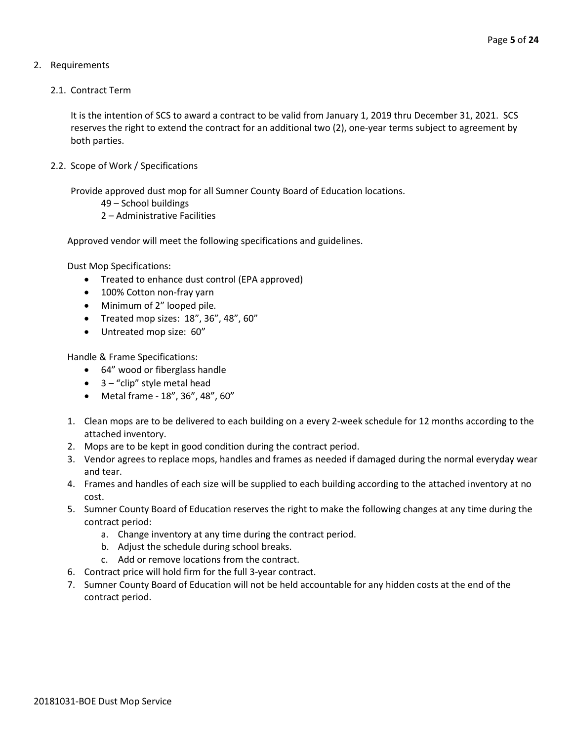# 2. Requirements

2.1. Contract Term

It is the intention of SCS to award a contract to be valid from January 1, 2019 thru December 31, 2021. SCS reserves the right to extend the contract for an additional two (2), one-year terms subject to agreement by both parties.

2.2. Scope of Work / Specifications

Provide approved dust mop for all Sumner County Board of Education locations.

```
49 – School buildings
```
2 – Administrative Facilities

Approved vendor will meet the following specifications and guidelines.

Dust Mop Specifications:

- Treated to enhance dust control (EPA approved)
- 100% Cotton non-fray yarn
- Minimum of 2" looped pile.
- Treated mop sizes: 18", 36", 48", 60"
- Untreated mop size: 60"

Handle & Frame Specifications:

- 64" wood or fiberglass handle
- $\bullet$  3 "clip" style metal head
- Metal frame 18", 36", 48", 60"
- 1. Clean mops are to be delivered to each building on a every 2-week schedule for 12 months according to the attached inventory.
- 2. Mops are to be kept in good condition during the contract period.
- 3. Vendor agrees to replace mops, handles and frames as needed if damaged during the normal everyday wear and tear.
- 4. Frames and handles of each size will be supplied to each building according to the attached inventory at no cost.
- 5. Sumner County Board of Education reserves the right to make the following changes at any time during the contract period:
	- a. Change inventory at any time during the contract period.
	- b. Adjust the schedule during school breaks.
	- c. Add or remove locations from the contract.
- 6. Contract price will hold firm for the full 3-year contract.
- 7. Sumner County Board of Education will not be held accountable for any hidden costs at the end of the contract period.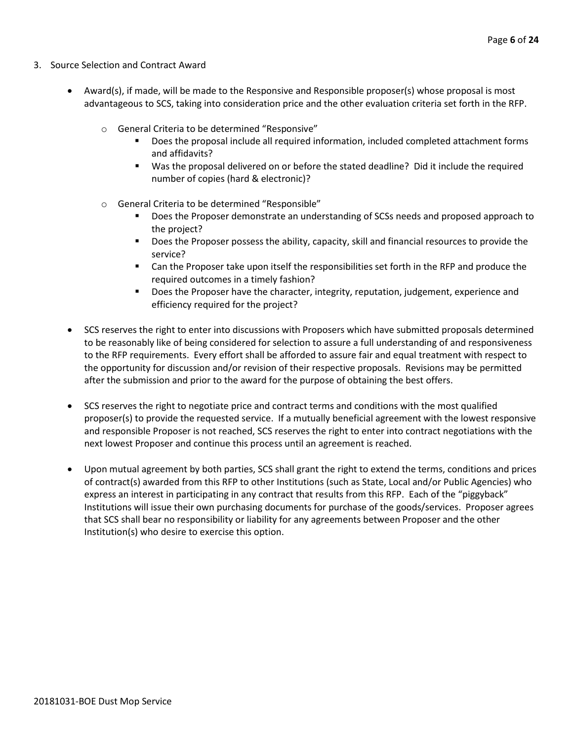- 3. Source Selection and Contract Award
	- Award(s), if made, will be made to the Responsive and Responsible proposer(s) whose proposal is most advantageous to SCS, taking into consideration price and the other evaluation criteria set forth in the RFP.
		- o General Criteria to be determined "Responsive"
			- Does the proposal include all required information, included completed attachment forms and affidavits?
			- Was the proposal delivered on or before the stated deadline? Did it include the required number of copies (hard & electronic)?
		- o General Criteria to be determined "Responsible"
			- Does the Proposer demonstrate an understanding of SCSs needs and proposed approach to the project?
			- **Does the Proposer possess the ability, capacity, skill and financial resources to provide the** service?
			- Can the Proposer take upon itself the responsibilities set forth in the RFP and produce the required outcomes in a timely fashion?
			- **Does the Proposer have the character, integrity, reputation, judgement, experience and** efficiency required for the project?
	- SCS reserves the right to enter into discussions with Proposers which have submitted proposals determined to be reasonably like of being considered for selection to assure a full understanding of and responsiveness to the RFP requirements. Every effort shall be afforded to assure fair and equal treatment with respect to the opportunity for discussion and/or revision of their respective proposals. Revisions may be permitted after the submission and prior to the award for the purpose of obtaining the best offers.
	- SCS reserves the right to negotiate price and contract terms and conditions with the most qualified proposer(s) to provide the requested service. If a mutually beneficial agreement with the lowest responsive and responsible Proposer is not reached, SCS reserves the right to enter into contract negotiations with the next lowest Proposer and continue this process until an agreement is reached.
	- Upon mutual agreement by both parties, SCS shall grant the right to extend the terms, conditions and prices of contract(s) awarded from this RFP to other Institutions (such as State, Local and/or Public Agencies) who express an interest in participating in any contract that results from this RFP. Each of the "piggyback" Institutions will issue their own purchasing documents for purchase of the goods/services. Proposer agrees that SCS shall bear no responsibility or liability for any agreements between Proposer and the other Institution(s) who desire to exercise this option.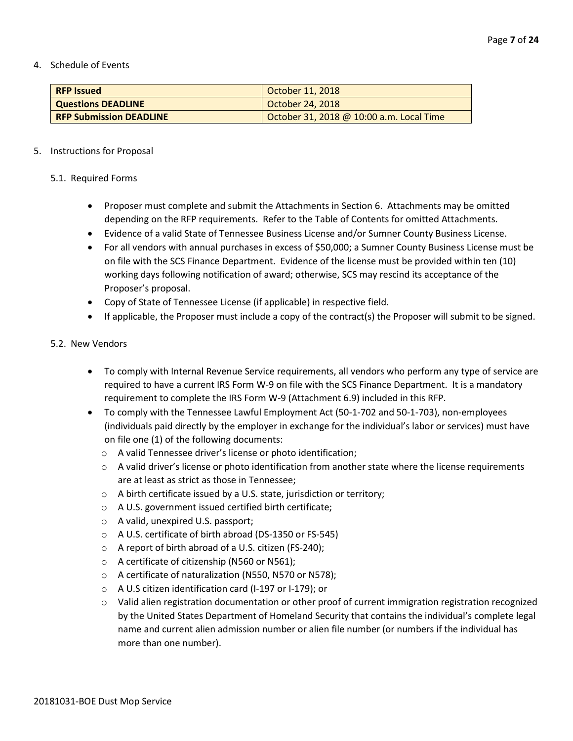4. Schedule of Events

| <b>RFP Issued</b>              | October 11, 2018                         |
|--------------------------------|------------------------------------------|
| <b>Questions DEADLINE</b>      | October 24, 2018                         |
| <b>RFP Submission DEADLINE</b> | October 31, 2018 @ 10:00 a.m. Local Time |

#### 5. Instructions for Proposal

#### 5.1. Required Forms

- Proposer must complete and submit the Attachments in Section 6. Attachments may be omitted depending on the RFP requirements. Refer to the Table of Contents for omitted Attachments.
- Evidence of a valid State of Tennessee Business License and/or Sumner County Business License.
- For all vendors with annual purchases in excess of \$50,000; a Sumner County Business License must be on file with the SCS Finance Department. Evidence of the license must be provided within ten (10) working days following notification of award; otherwise, SCS may rescind its acceptance of the Proposer's proposal.
- Copy of State of Tennessee License (if applicable) in respective field.
- If applicable, the Proposer must include a copy of the contract(s) the Proposer will submit to be signed.

#### 5.2. New Vendors

- To comply with Internal Revenue Service requirements, all vendors who perform any type of service are required to have a current IRS Form W-9 on file with the SCS Finance Department. It is a mandatory requirement to complete the IRS Form W-9 (Attachment 6.9) included in this RFP.
- To comply with the Tennessee Lawful Employment Act (50-1-702 and 50-1-703), non-employees (individuals paid directly by the employer in exchange for the individual's labor or services) must have on file one (1) of the following documents:
	- o A valid Tennessee driver's license or photo identification;
	- $\circ$  A valid driver's license or photo identification from another state where the license requirements are at least as strict as those in Tennessee;
	- o A birth certificate issued by a U.S. state, jurisdiction or territory;
	- o A U.S. government issued certified birth certificate;
	- o A valid, unexpired U.S. passport;
	- o A U.S. certificate of birth abroad (DS-1350 or FS-545)
	- o A report of birth abroad of a U.S. citizen (FS-240);
	- o A certificate of citizenship (N560 or N561);
	- o A certificate of naturalization (N550, N570 or N578);
	- o A U.S citizen identification card (I-197 or I-179); or
	- o Valid alien registration documentation or other proof of current immigration registration recognized by the United States Department of Homeland Security that contains the individual's complete legal name and current alien admission number or alien file number (or numbers if the individual has more than one number).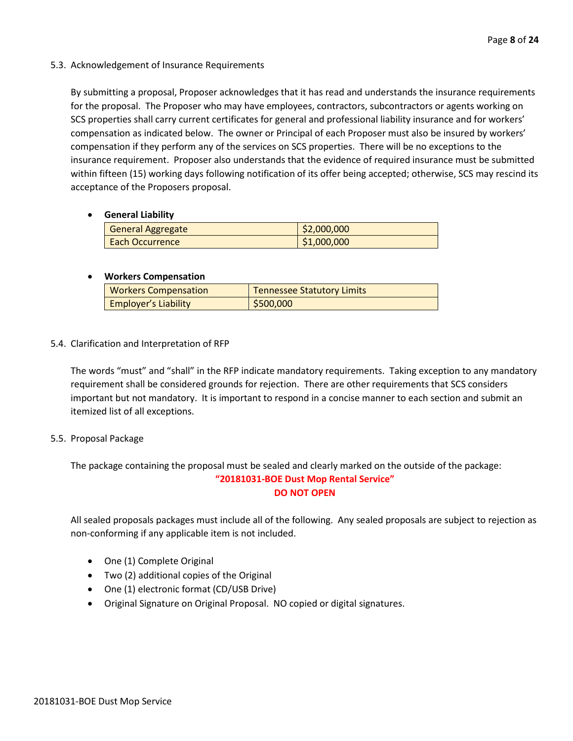# 5.3. Acknowledgement of Insurance Requirements

By submitting a proposal, Proposer acknowledges that it has read and understands the insurance requirements for the proposal. The Proposer who may have employees, contractors, subcontractors or agents working on SCS properties shall carry current certificates for general and professional liability insurance and for workers' compensation as indicated below. The owner or Principal of each Proposer must also be insured by workers' compensation if they perform any of the services on SCS properties. There will be no exceptions to the insurance requirement. Proposer also understands that the evidence of required insurance must be submitted within fifteen (15) working days following notification of its offer being accepted; otherwise, SCS may rescind its acceptance of the Proposers proposal.

# • **General Liability**

| <b>General Aggregate</b> | \$2,000,000 |
|--------------------------|-------------|
| <b>Each Occurrence</b>   | \$1,000,000 |

# • **Workers Compensation**

| <b>Workers Compensation</b> | <b>Tennessee Statutory Limits</b> |
|-----------------------------|-----------------------------------|
| <b>Employer's Liability</b> | \$500,000                         |

# 5.4. Clarification and Interpretation of RFP

The words "must" and "shall" in the RFP indicate mandatory requirements. Taking exception to any mandatory requirement shall be considered grounds for rejection. There are other requirements that SCS considers important but not mandatory. It is important to respond in a concise manner to each section and submit an itemized list of all exceptions.

# 5.5. Proposal Package

The package containing the proposal must be sealed and clearly marked on the outside of the package: **"20181031-BOE Dust Mop Rental Service"**

#### **DO NOT OPEN**

All sealed proposals packages must include all of the following. Any sealed proposals are subject to rejection as non-conforming if any applicable item is not included.

- One (1) Complete Original
- Two (2) additional copies of the Original
- One (1) electronic format (CD/USB Drive)
- Original Signature on Original Proposal. NO copied or digital signatures.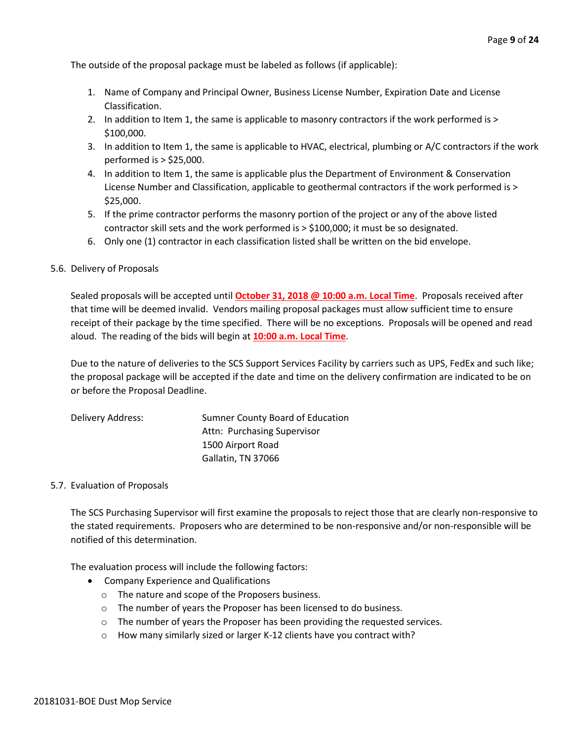The outside of the proposal package must be labeled as follows (if applicable):

- 1. Name of Company and Principal Owner, Business License Number, Expiration Date and License Classification.
- 2. In addition to Item 1, the same is applicable to masonry contractors if the work performed is > \$100,000.
- 3. In addition to Item 1, the same is applicable to HVAC, electrical, plumbing or A/C contractors if the work performed is > \$25,000.
- 4. In addition to Item 1, the same is applicable plus the Department of Environment & Conservation License Number and Classification, applicable to geothermal contractors if the work performed is > \$25,000.
- 5. If the prime contractor performs the masonry portion of the project or any of the above listed contractor skill sets and the work performed is > \$100,000; it must be so designated.
- 6. Only one (1) contractor in each classification listed shall be written on the bid envelope.

# 5.6. Delivery of Proposals

Sealed proposals will be accepted until **October 31, 2018 @ 10:00 a.m. Local Time**. Proposals received after that time will be deemed invalid. Vendors mailing proposal packages must allow sufficient time to ensure receipt of their package by the time specified. There will be no exceptions. Proposals will be opened and read aloud. The reading of the bids will begin at **10:00 a.m. Local Time**.

Due to the nature of deliveries to the SCS Support Services Facility by carriers such as UPS, FedEx and such like; the proposal package will be accepted if the date and time on the delivery confirmation are indicated to be on or before the Proposal Deadline.

| Delivery Address: | Sumner County Board of Education |
|-------------------|----------------------------------|
|                   | Attn: Purchasing Supervisor      |
|                   | 1500 Airport Road                |
|                   | Gallatin, TN 37066               |

#### 5.7. Evaluation of Proposals

The SCS Purchasing Supervisor will first examine the proposals to reject those that are clearly non-responsive to the stated requirements. Proposers who are determined to be non-responsive and/or non-responsible will be notified of this determination.

The evaluation process will include the following factors:

- Company Experience and Qualifications
	- o The nature and scope of the Proposers business.
	- o The number of years the Proposer has been licensed to do business.
	- $\circ$  The number of years the Proposer has been providing the requested services.
	- o How many similarly sized or larger K-12 clients have you contract with?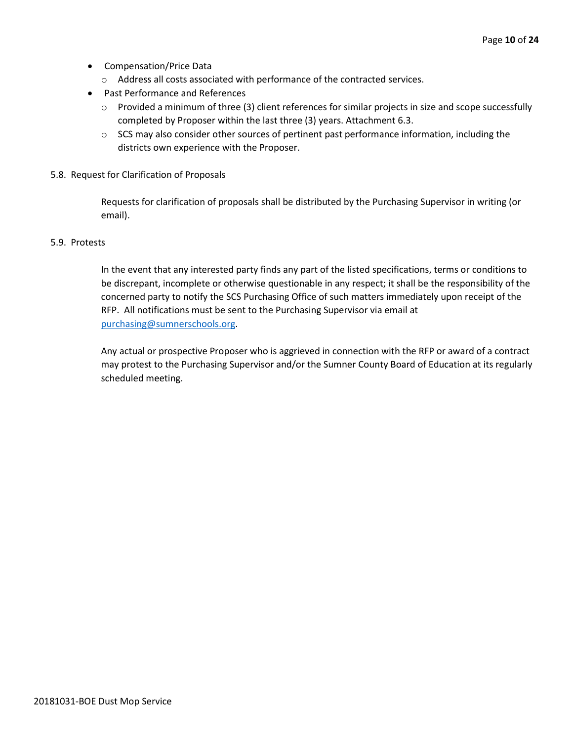- Compensation/Price Data
	- o Address all costs associated with performance of the contracted services.
- Past Performance and References
	- o Provided a minimum of three (3) client references for similar projects in size and scope successfully completed by Proposer within the last three (3) years. Attachment 6.3.
	- $\circ$  SCS may also consider other sources of pertinent past performance information, including the districts own experience with the Proposer.
- 5.8. Request for Clarification of Proposals

Requests for clarification of proposals shall be distributed by the Purchasing Supervisor in writing (or email).

#### 5.9. Protests

In the event that any interested party finds any part of the listed specifications, terms or conditions to be discrepant, incomplete or otherwise questionable in any respect; it shall be the responsibility of the concerned party to notify the SCS Purchasing Office of such matters immediately upon receipt of the RFP. All notifications must be sent to the Purchasing Supervisor via email at [purchasing@sumnerschools.org.](mailto:purchasing@sumnerschools.org)

Any actual or prospective Proposer who is aggrieved in connection with the RFP or award of a contract may protest to the Purchasing Supervisor and/or the Sumner County Board of Education at its regularly scheduled meeting.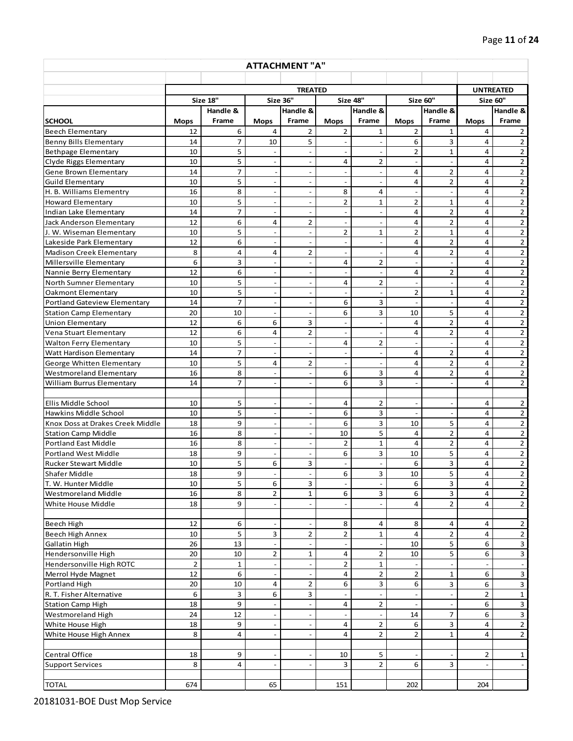| <b>ATTACHMENT "A"</b>                          |                      |                    |                          |                               |                          |                                |                          |                          |                |                                        |
|------------------------------------------------|----------------------|--------------------|--------------------------|-------------------------------|--------------------------|--------------------------------|--------------------------|--------------------------|----------------|----------------------------------------|
|                                                |                      |                    |                          |                               |                          |                                |                          |                          |                |                                        |
|                                                | <b>TREATED</b>       |                    |                          |                               |                          | <b>UNTREATED</b>               |                          |                          |                |                                        |
|                                                |                      | <b>Size 18"</b>    | <b>Size 36"</b>          |                               |                          | Size 48"                       |                          | Size 60"                 | Size 60"       |                                        |
| <b>SCHOOL</b>                                  | <b>Mops</b>          | Handle &<br>Frame  | <b>Mops</b>              | Handle &<br>Frame             | <b>Mops</b>              | Handle &<br>Frame              | <b>Mops</b>              | Handle &<br>Frame        | <b>Mops</b>    | Handle &<br>Frame                      |
| <b>Beech Elementary</b>                        | 12                   | 6                  | $\overline{4}$           | $\overline{2}$                | $\overline{2}$           | $\mathbf{1}$                   | $\overline{2}$           | $\mathbf{1}$             | 4              | $\overline{2}$                         |
| <b>Benny Bills Elementary</b>                  | 14                   | $\overline{7}$     | 10                       | 5                             | $\overline{a}$           | $\frac{1}{2}$                  | 6                        | 3                        | 4              | $\overline{2}$                         |
| <b>Bethpage Elementary</b>                     | 10                   | 5                  | $\overline{\phantom{a}}$ | $\overline{\phantom{a}}$      | $\overline{\phantom{a}}$ | $\overline{\phantom{a}}$       | $\overline{2}$           | $\mathbf{1}$             | 4              | $\overline{2}$                         |
| Clyde Riggs Elementary                         | 10                   | 5                  | $\overline{\phantom{a}}$ | $\qquad \qquad \blacksquare$  | 4                        | $\overline{2}$                 | $\overline{\phantom{a}}$ | $\overline{\phantom{a}}$ | 4              | $\overline{2}$                         |
| Gene Brown Elementary                          | 14                   | $\overline{7}$     | $\overline{\phantom{a}}$ | $\overline{\phantom{a}}$      | $\sim$                   | $\overline{\phantom{a}}$       | $\overline{4}$           | $\overline{2}$           | 4              | $\overline{2}$                         |
| <b>Guild Elementary</b>                        | 10                   | 5                  | $\sim$                   | $\overline{\phantom{a}}$      | $\blacksquare$           |                                | 4                        | $\overline{2}$           | $\overline{a}$ | $\overline{2}$                         |
| H. B. Williams Elementry                       | 16                   | 8                  | $\overline{a}$           | $\overline{\phantom{a}}$      | 8                        | 4                              | $\blacksquare$           | $\overline{a}$           | 4              | $\overline{2}$                         |
| <b>Howard Elementary</b>                       | 10                   | 5                  | $\overline{\phantom{a}}$ | $\overline{\phantom{a}}$      | 2                        | $\mathbf{1}$                   | $\overline{2}$           | $\mathbf 1$              | 4              | $\overline{2}$                         |
| Indian Lake Elementary                         | 14                   | $\overline{7}$     | $\overline{a}$           | $\qquad \qquad \blacksquare$  | $\overline{\phantom{a}}$ | $\blacksquare$                 | $\overline{a}$           | 2                        | 4              | $\overline{2}$                         |
| Jack Anderson Elementary                       | 12                   | 6                  | 4                        | $\overline{2}$                | $\overline{\phantom{a}}$ | $\overline{\phantom{a}}$       | $\overline{a}$           | $\overline{2}$           | 4              | $\overline{2}$                         |
| J. W. Wiseman Elementary                       | 10                   | 5                  | $\overline{\phantom{a}}$ | $\overline{\phantom{a}}$      | $\overline{2}$           | $\mathbf{1}$                   | $\overline{2}$           | $\mathbf{1}$             | 4              | $\overline{2}$                         |
| Lakeside Park Elementary                       | 12                   | 6                  | $\overline{\phantom{a}}$ | $\overline{\phantom{a}}$      | $\overline{\phantom{a}}$ | $\overline{\phantom{a}}$       | $\overline{a}$           | $\overline{2}$           | 4              | $\overline{2}$                         |
| <b>Madison Creek Elementary</b>                | 8                    | 4                  | 4                        | 2                             | $\blacksquare$           | $\overline{\phantom{a}}$       | 4                        | $\overline{2}$           | 4              | $\overline{2}$                         |
| Millersville Elementary                        | 6                    | 3                  | $\overline{a}$           | $\overline{a}$                | 4                        | $\overline{2}$                 | $\overline{a}$           | $\blacksquare$           | $\overline{4}$ | $\overline{2}$                         |
| Nannie Berry Elementary                        | 12                   | 6                  | $\sim$                   | $\frac{1}{2}$                 | $\overline{\phantom{a}}$ | $\overline{a}$                 | $\overline{4}$           | $\overline{2}$           | $\overline{4}$ | $\overline{2}$                         |
| North Sumner Elementary                        | 10                   | 5                  | $\overline{a}$           | $\frac{1}{2}$                 | 4                        | $\overline{2}$                 | $\overline{a}$           | $\overline{\phantom{a}}$ | $\overline{4}$ | $\overline{2}$                         |
| <b>Oakmont Elementary</b>                      | 10                   | 5                  | $\overline{\phantom{a}}$ | $\overline{\phantom{a}}$      | $\overline{\phantom{a}}$ | $\sim$                         | $\overline{2}$           | 1                        | 4              | $\mathbf 2$                            |
| <b>Portland Gateview Elementary</b>            | 14                   | $\overline{7}$     | $\overline{a}$           | $\frac{1}{2}$                 | 6                        | 3                              | $\overline{\phantom{a}}$ | $\overline{\phantom{a}}$ | 4              | $\overline{\mathbf{c}}$                |
| <b>Station Camp Elementary</b>                 | 20                   | 10                 | $\overline{a}$           | $\blacksquare$                | 6                        | 3                              | 10                       | 5                        | 4              | $\overline{2}$                         |
| <b>Union Elementary</b>                        | 12                   | 6                  | 6                        | 3                             | $\blacksquare$           |                                | $\overline{a}$           | $\overline{\mathbf{c}}$  | 4              | $\overline{2}$                         |
| Vena Stuart Elementary                         | 12                   | 6                  | 4                        | $\overline{2}$                | $\overline{\phantom{a}}$ |                                | 4                        | $\overline{2}$           | 4              | $\overline{2}$                         |
| <b>Walton Ferry Elementary</b>                 | 10                   | 5                  | $\overline{\phantom{a}}$ | $\overline{\phantom{a}}$      | 4                        | $\overline{2}$                 | $\overline{\phantom{a}}$ | $\overline{\phantom{a}}$ | 4              | $\overline{2}$                         |
| <b>Watt Hardison Elementary</b>                | 14                   | 7                  | $\overline{a}$           | $\overline{\phantom{a}}$      | $\overline{\phantom{a}}$ | $\overline{\phantom{a}}$       | 4                        | $\overline{2}$           | 4              | $\overline{2}$                         |
| George Whitten Elementary                      | 10                   | 5                  | 4                        | $\overline{2}$                | $\overline{\phantom{a}}$ | $\overline{a}$                 | $\overline{4}$           | $\overline{2}$           | 4              | $\overline{2}$                         |
| <b>Westmoreland Elementary</b>                 | 16                   | 8                  | $\overline{\phantom{a}}$ | $\overline{a}$                | 6                        | 3                              | $\overline{4}$           | $\overline{2}$           | 4              | $\overline{2}$                         |
| William Burrus Elementary                      | 14                   | 7                  | $\overline{\phantom{a}}$ | $\overline{a}$                | 6                        | 3                              | $\overline{\phantom{a}}$ | $\frac{1}{2}$            | 4              | $\overline{2}$                         |
|                                                |                      |                    |                          |                               |                          |                                |                          |                          |                |                                        |
| Ellis Middle School                            | 10                   | 5                  | $\overline{a}$           | $\qquad \qquad \blacksquare$  | 4                        | 2                              | $\overline{\phantom{a}}$ | $\overline{\phantom{m}}$ | 4              | $\overline{2}$                         |
| Hawkins Middle School                          | 10                   | 5                  | $\overline{\phantom{a}}$ | $\qquad \qquad \blacksquare$  | 6                        | 3                              | $\blacksquare$           | $\overline{\phantom{a}}$ | 4              | $\overline{2}$                         |
| Knox Doss at Drakes Creek Middle               | 18                   | 9                  | $\overline{\phantom{a}}$ | $\frac{1}{2}$                 | 6                        | 3                              | 10                       | 5                        | 4              | $\overline{2}$                         |
| <b>Station Camp Middle</b>                     | 16                   | 8                  | $\bar{\phantom{a}}$      | $\overline{\phantom{a}}$      | 10                       | 5                              | $\overline{4}$           | $\overline{2}$           | 4              | $\overline{2}$                         |
| <b>Portland East Middle</b>                    | 16                   | 8                  | $\overline{\phantom{a}}$ | $\overline{\phantom{a}}$      | $\overline{2}$           | $\mathbf{1}$                   | $\overline{4}$           | $\overline{2}$           | 4              | $\overline{2}$                         |
| <b>Portland West Middle</b>                    | 18                   | 9                  | $\overline{a}$           | $\overline{\phantom{a}}$      | 6                        | 3                              | 10                       | 5                        | 4              | $\overline{2}$                         |
| <b>Rucker Stewart Middle</b>                   | 10                   | 5                  | 6                        | 3                             | $\blacksquare$           | $\overline{\phantom{a}}$       | 6                        | 3                        | 4              | $\overline{2}$                         |
| <b>Shafer Middle</b>                           | 18                   | 9                  | $\sim$                   | $\overline{\phantom{a}}$      | 6                        | 3                              | 10                       | 5                        | 4              | $\overline{2}$                         |
| T. W. Hunter Middle                            | 10                   | 5                  | 6                        | $\mathbf{3}$                  | $\overline{\phantom{a}}$ | $\overline{\phantom{a}}$       | 6                        | 3                        | 4              | $\overline{2}$                         |
| <b>Westmoreland Middle</b>                     | 16                   | 8                  | $\overline{2}$           | $\mathbf{1}$                  | 6                        | 3                              | 6                        | 3                        | 4              | $\overline{2}$                         |
| White House Middle                             | 18                   | 9                  |                          | $\overline{\phantom{a}}$      | $\blacksquare$           |                                | $\overline{4}$           | $\overline{2}$           | 4              | $\overline{2}$                         |
|                                                |                      |                    |                          |                               |                          |                                |                          |                          |                |                                        |
| Beech High                                     | 12                   | 6                  |                          |                               | 8                        | 4                              | 8                        | 4                        | 4              | $\overline{2}$                         |
| <b>Beech High Annex</b>                        | 10                   | 5                  | 3                        | $\mathbf{2}$                  | 2                        | $\mathbf{1}$                   | 4                        | $\overline{2}$           | 4              | $\mathbf 2$<br>$\overline{\mathbf{3}}$ |
| Gallatin High                                  | 26                   | 13                 |                          | $\qquad \qquad \blacksquare$  | $\overline{\phantom{a}}$ |                                | 10                       | 5                        | 6              |                                        |
| Hendersonville High                            | 20<br>$\overline{2}$ | 10<br>$\mathbf{1}$ | $\overline{2}$           | $\mathbf 1$<br>$\overline{a}$ | 4<br>$\overline{2}$      | $\overline{2}$<br>$\mathbf{1}$ | 10                       | 5                        | 6              | $\overline{\mathbf{3}}$                |
| Hendersonville High ROTC<br>Merrol Hyde Magnet | 12                   | 6                  | $\overline{\phantom{a}}$ | $\qquad \qquad \Box$          |                          | $\overline{2}$                 | $\overline{2}$           |                          | 6              | $\overline{\mathbf{3}}$                |
| Portland High                                  | 20                   | 10                 | 4                        | $\overline{2}$                | 4<br>6                   | 3                              | 6                        | $\mathbf{1}$<br>3        | 6              | $\mathbf{3}$                           |
| R. T. Fisher Alternative                       | 6                    | 3                  | 6                        | 3                             |                          |                                |                          | $\overline{\phantom{a}}$ | $\overline{2}$ | $\mathbf{1}$                           |
| <b>Station Camp High</b>                       | 18                   | 9                  | $\overline{\phantom{a}}$ | $\qquad \qquad \blacksquare$  | 4                        | $\overline{2}$                 |                          | $\overline{\phantom{a}}$ | 6              | $\overline{\mathbf{3}}$                |
| Westmoreland High                              | 24                   | 12                 |                          | $\qquad \qquad \blacksquare$  |                          |                                | 14                       | $\overline{7}$           | 6              | $\overline{\mathbf{3}}$                |
| White House High                               | 18                   | 9                  |                          |                               | 4                        | $\overline{2}$                 | 6                        | $\mathbf{3}$             | 4              | $\overline{2}$                         |
| White House High Annex                         | 8                    | 4                  | $\overline{\phantom{a}}$ | $\overline{\phantom{a}}$      | 4                        | $\overline{2}$                 | $\overline{2}$           | $\mathbf{1}$             | 4              | $\overline{2}$                         |
|                                                |                      |                    |                          |                               |                          |                                |                          |                          |                |                                        |
| Central Office                                 | 18                   | 9                  | $\overline{\phantom{a}}$ |                               | 10                       | 5                              |                          |                          | 2              | $\mathbf{1}$                           |
| <b>Support Services</b>                        | 8                    | 4                  |                          |                               | 3                        | $\overline{2}$                 | 6                        | 3                        |                |                                        |
|                                                |                      |                    |                          |                               |                          |                                |                          |                          |                |                                        |
| <b>TOTAL</b>                                   | 674                  |                    | 65                       |                               | 151                      |                                | 202                      |                          | 204            |                                        |

20181031-BOE Dust Mop Service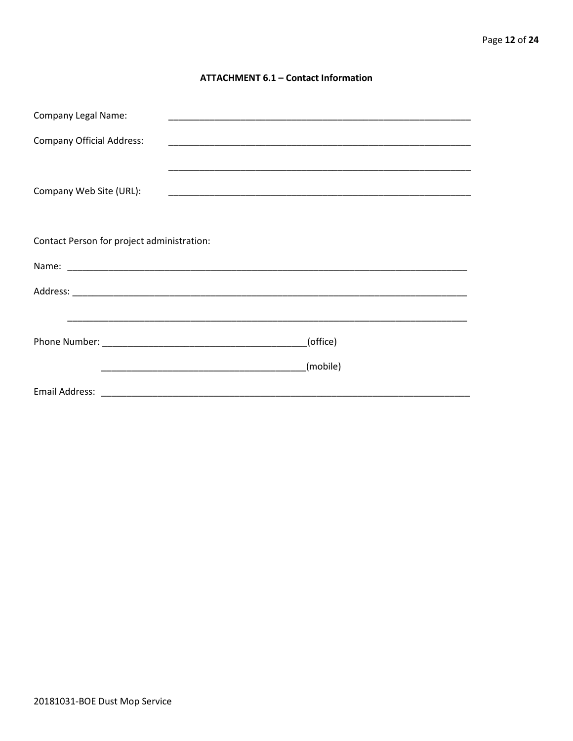# **ATTACHMENT 6.1 - Contact Information**

| <b>Company Legal Name:</b>                 | <u> 1989 - Johann John Stein, mars an deutscher Stein und der Stein und der Stein und der Stein und der Stein und</u>             |  |
|--------------------------------------------|-----------------------------------------------------------------------------------------------------------------------------------|--|
| <b>Company Official Address:</b>           | <u> 1989 - Johann Stoff, amerikansk politiker (d. 1989)</u>                                                                       |  |
| Company Web Site (URL):                    | <u> 1980 - Johann John Stoff, deutscher Stoffen und der Stoffen und der Stoffen und der Stoffen und der Stoffen u</u>             |  |
| Contact Person for project administration: |                                                                                                                                   |  |
|                                            |                                                                                                                                   |  |
|                                            |                                                                                                                                   |  |
|                                            | <u> 1989 - John Harry Harry Harry Harry Harry Harry Harry Harry Harry Harry Harry Harry Harry Harry Harry Harry</u>               |  |
|                                            | (office)                                                                                                                          |  |
|                                            | (mobile)<br><u> 1989 - Johann John Stein, markin film ar yn y breninnas yn y breninnas yn y breninnas y breninnas y breninnas</u> |  |
|                                            |                                                                                                                                   |  |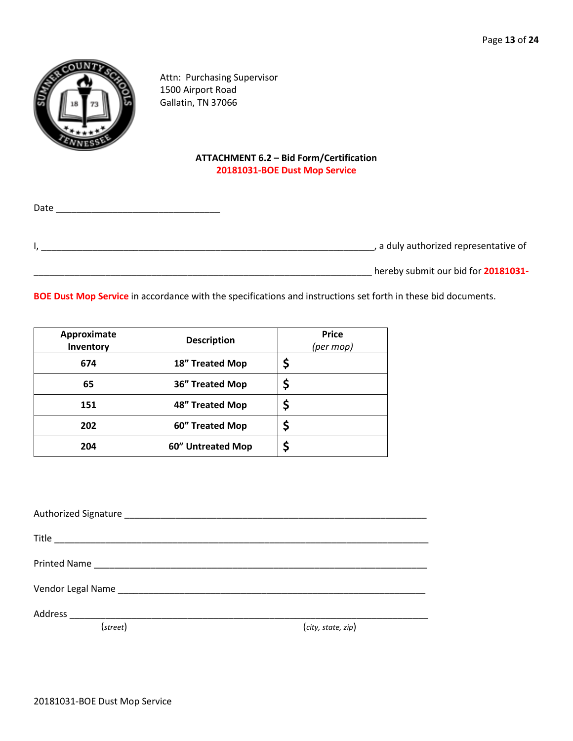

Attn: Purchasing Supervisor 1500 Airport Road Gallatin, TN 37066

# **ATTACHMENT 6.2 – Bid Form/Certification 20181031-BOE Dust Mop Service**

Date \_\_\_\_\_\_\_\_\_\_\_\_\_\_\_\_\_\_\_\_\_\_\_\_\_\_\_\_\_\_\_\_

I, \_\_\_\_\_\_\_\_\_\_\_\_\_\_\_\_\_\_\_\_\_\_\_\_\_\_\_\_\_\_\_\_\_\_\_\_\_\_\_\_\_\_\_\_\_\_\_\_\_\_\_\_\_\_\_\_\_\_\_\_\_\_\_\_\_, a duly authorized representative of

\_\_\_\_\_\_\_\_\_\_\_\_\_\_\_\_\_\_\_\_\_\_\_\_\_\_\_\_\_\_\_\_\_\_\_\_\_\_\_\_\_\_\_\_\_\_\_\_\_\_\_\_\_\_\_\_\_\_\_\_\_\_\_\_\_\_ hereby submit our bid for **20181031-**

**BOE Dust Mop Service** in accordance with the specifications and instructions set forth in these bid documents.

| Approximate<br>Inventory | <b>Description</b> | <b>Price</b><br>(per mop) |
|--------------------------|--------------------|---------------------------|
| 674                      | 18" Treated Mop    |                           |
| 65                       | 36" Treated Mop    |                           |
| 151                      | 48" Treated Mop    |                           |
| 202                      | 60" Treated Mop    |                           |
| 204                      | 60" Untreated Mop  |                           |

Authorized Signature \_\_\_\_\_\_\_\_\_\_\_\_\_\_\_\_\_\_\_\_\_\_\_\_\_\_\_\_\_\_\_\_\_\_\_\_\_\_\_\_\_\_\_\_\_\_\_\_\_\_\_\_\_\_\_\_\_\_\_ Title \_\_\_\_\_\_\_\_\_\_\_\_\_\_\_\_\_\_\_\_\_\_\_\_\_\_\_\_\_\_\_\_\_\_\_\_\_\_\_\_\_\_\_\_\_\_\_\_\_\_\_\_\_\_\_\_\_\_\_\_\_\_\_\_\_\_\_\_\_\_\_\_\_ Printed Name \_\_\_\_\_\_\_\_\_\_\_\_\_\_\_\_\_\_\_\_\_\_\_\_\_\_\_\_\_\_\_\_\_\_\_\_\_\_\_\_\_\_\_\_\_\_\_\_\_\_\_\_\_\_\_\_\_\_\_\_\_\_\_\_\_ Vendor Legal Name \_\_\_\_\_\_\_\_\_\_\_\_\_\_\_\_\_\_\_\_\_\_\_\_\_\_\_\_\_\_\_\_\_\_\_\_\_\_\_\_\_\_\_\_\_\_\_\_\_\_\_\_\_\_\_\_\_\_\_\_ Address \_\_\_\_\_\_\_\_\_\_\_\_\_\_\_\_\_\_\_\_\_\_\_\_\_\_\_\_\_\_\_\_\_\_\_\_\_\_\_\_\_\_\_\_\_\_\_\_\_\_\_\_\_\_\_\_\_\_\_\_\_\_\_\_\_\_\_\_\_\_ (*street*) (*city, state, zip*)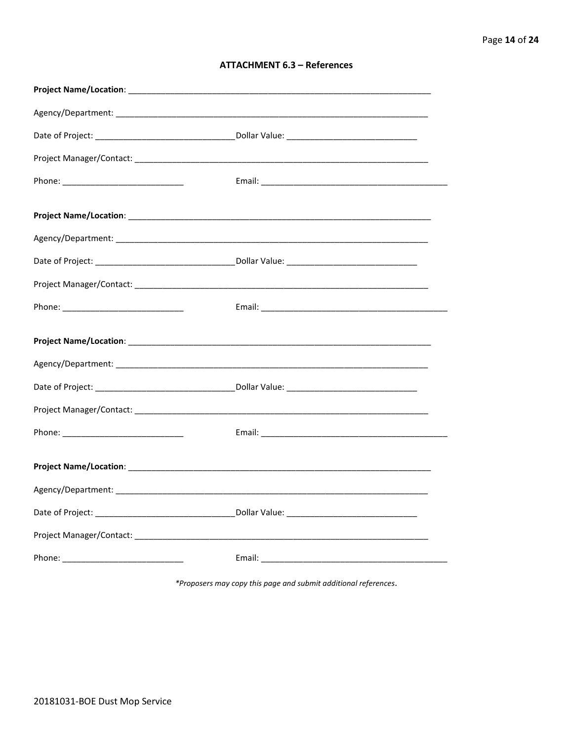| <b>ATTACHMENT 6.3 - References</b> |  |  |
|------------------------------------|--|--|
|------------------------------------|--|--|

\*Proposers may copy this page and submit additional references.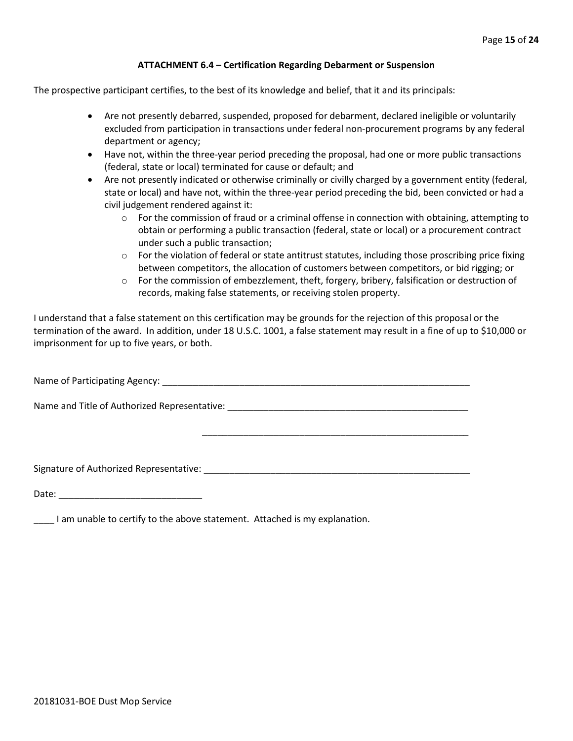#### **ATTACHMENT 6.4 – Certification Regarding Debarment or Suspension**

The prospective participant certifies, to the best of its knowledge and belief, that it and its principals:

- Are not presently debarred, suspended, proposed for debarment, declared ineligible or voluntarily excluded from participation in transactions under federal non-procurement programs by any federal department or agency;
- Have not, within the three-year period preceding the proposal, had one or more public transactions (federal, state or local) terminated for cause or default; and
- Are not presently indicated or otherwise criminally or civilly charged by a government entity (federal, state or local) and have not, within the three-year period preceding the bid, been convicted or had a civil judgement rendered against it:
	- $\circ$  For the commission of fraud or a criminal offense in connection with obtaining, attempting to obtain or performing a public transaction (federal, state or local) or a procurement contract under such a public transaction;
	- $\circ$  For the violation of federal or state antitrust statutes, including those proscribing price fixing between competitors, the allocation of customers between competitors, or bid rigging; or
	- $\circ$  For the commission of embezzlement, theft, forgery, bribery, falsification or destruction of records, making false statements, or receiving stolen property.

\_\_\_\_\_\_\_\_\_\_\_\_\_\_\_\_\_\_\_\_\_\_\_\_\_\_\_\_\_\_\_\_\_\_\_\_\_\_\_\_\_\_\_\_\_\_\_\_\_\_\_\_

I understand that a false statement on this certification may be grounds for the rejection of this proposal or the termination of the award. In addition, under 18 U.S.C. 1001, a false statement may result in a fine of up to \$10,000 or imprisonment for up to five years, or both.

Name of Participating Agency: \_\_\_\_\_\_\_\_\_\_\_\_\_\_\_\_\_\_\_\_\_\_\_\_\_\_\_\_\_\_\_\_\_\_\_\_\_\_\_\_\_\_\_\_\_\_\_\_\_\_\_\_\_\_\_\_\_\_\_\_

Name and Title of Authorized Representative: \_\_\_\_\_\_\_\_\_\_\_\_\_\_\_\_\_\_\_\_\_\_\_\_\_\_\_\_\_\_\_\_\_\_\_\_\_\_\_\_\_\_\_\_\_\_\_

Signature of Authorized Representative: \_\_\_\_\_\_\_\_\_\_\_\_\_\_\_\_\_\_\_\_\_\_\_\_\_\_\_\_\_\_\_\_\_\_\_\_\_\_\_\_\_\_\_\_\_\_\_\_\_\_\_\_

Date: \_\_\_\_\_\_\_\_\_\_\_\_\_\_\_\_\_\_\_\_\_\_\_\_\_\_\_\_

\_\_\_\_ I am unable to certify to the above statement. Attached is my explanation.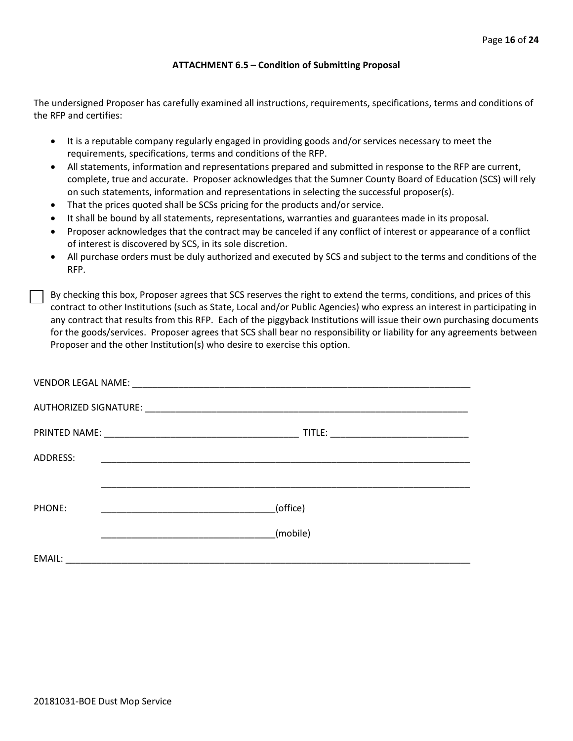#### **ATTACHMENT 6.5 – Condition of Submitting Proposal**

The undersigned Proposer has carefully examined all instructions, requirements, specifications, terms and conditions of the RFP and certifies:

- It is a reputable company regularly engaged in providing goods and/or services necessary to meet the requirements, specifications, terms and conditions of the RFP.
- All statements, information and representations prepared and submitted in response to the RFP are current, complete, true and accurate. Proposer acknowledges that the Sumner County Board of Education (SCS) will rely on such statements, information and representations in selecting the successful proposer(s).
- That the prices quoted shall be SCSs pricing for the products and/or service.
- It shall be bound by all statements, representations, warranties and guarantees made in its proposal.
- Proposer acknowledges that the contract may be canceled if any conflict of interest or appearance of a conflict of interest is discovered by SCS, in its sole discretion.
- All purchase orders must be duly authorized and executed by SCS and subject to the terms and conditions of the RFP.

By checking this box, Proposer agrees that SCS reserves the right to extend the terms, conditions, and prices of this contract to other Institutions (such as State, Local and/or Public Agencies) who express an interest in participating in any contract that results from this RFP. Each of the piggyback Institutions will issue their own purchasing documents for the goods/services. Proposer agrees that SCS shall bear no responsibility or liability for any agreements between Proposer and the other Institution(s) who desire to exercise this option.

| ADDRESS: | <u> 1999 - Johann John Stone, mars et al. 1999 - John Stone, mars et al. 1999 - John Stone, mars et al. 1999 - Joh</u> |  |
|----------|------------------------------------------------------------------------------------------------------------------------|--|
|          |                                                                                                                        |  |
| PHONE:   | (office)                                                                                                               |  |
|          | (mobile)                                                                                                               |  |
| EMAIL:   |                                                                                                                        |  |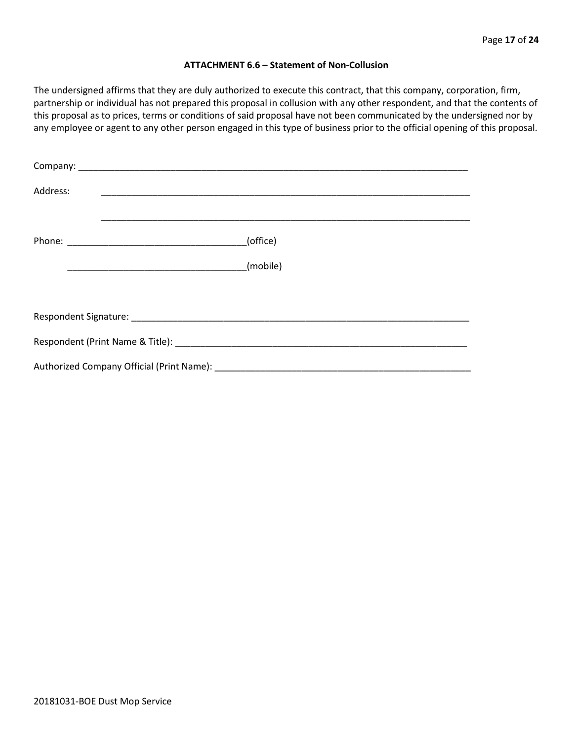#### **ATTACHMENT 6.6 – Statement of Non-Collusion**

The undersigned affirms that they are duly authorized to execute this contract, that this company, corporation, firm, partnership or individual has not prepared this proposal in collusion with any other respondent, and that the contents of this proposal as to prices, terms or conditions of said proposal have not been communicated by the undersigned nor by any employee or agent to any other person engaged in this type of business prior to the official opening of this proposal.

| Address: |          |
|----------|----------|
|          | (office) |
|          | (mobile) |
|          |          |
|          |          |
|          |          |
|          |          |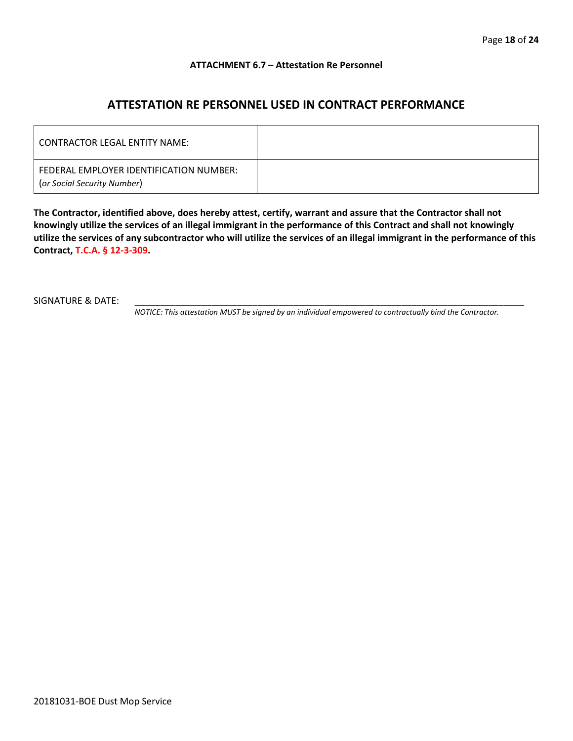#### **ATTACHMENT 6.7 – Attestation Re Personnel**

# **ATTESTATION RE PERSONNEL USED IN CONTRACT PERFORMANCE**

| CONTRACTOR LEGAL ENTITY NAME:                                          |  |
|------------------------------------------------------------------------|--|
| FEDERAL EMPLOYER IDENTIFICATION NUMBER:<br>(or Social Security Number) |  |

**The Contractor, identified above, does hereby attest, certify, warrant and assure that the Contractor shall not knowingly utilize the services of an illegal immigrant in the performance of this Contract and shall not knowingly utilize the services of any subcontractor who will utilize the services of an illegal immigrant in the performance of this Contract, T.C.A. § 12-3-309.**

SIGNATURE & DATE:

*NOTICE: This attestation MUST be signed by an individual empowered to contractually bind the Contractor.*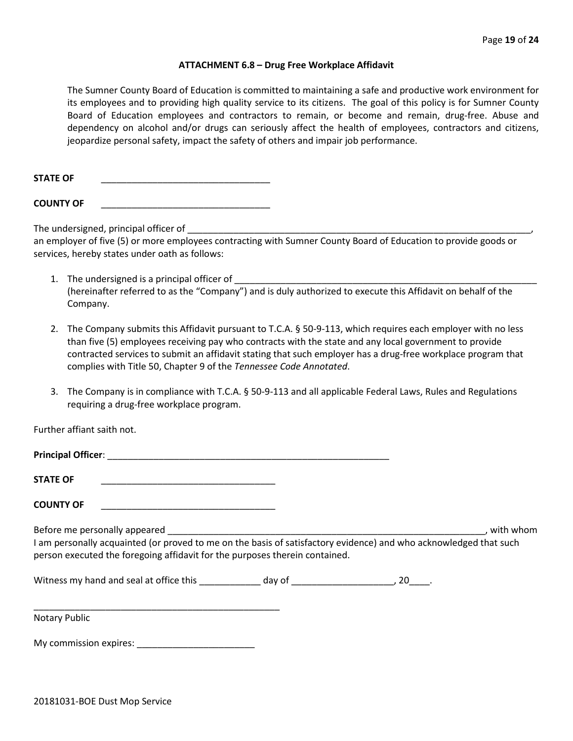#### **ATTACHMENT 6.8 – Drug Free Workplace Affidavit**

The Sumner County Board of Education is committed to maintaining a safe and productive work environment for its employees and to providing high quality service to its citizens. The goal of this policy is for Sumner County Board of Education employees and contractors to remain, or become and remain, drug-free. Abuse and dependency on alcohol and/or drugs can seriously affect the health of employees, contractors and citizens, jeopardize personal safety, impact the safety of others and impair job performance.

STATE OF

**COUNTY OF** \_\_\_\_\_\_\_\_\_\_\_\_\_\_\_\_\_\_\_\_\_\_\_\_\_\_\_\_\_\_\_\_\_

The undersigned, principal officer of

an employer of five (5) or more employees contracting with Sumner County Board of Education to provide goods or services, hereby states under oath as follows:

- 1. The undersigned is a principal officer of (hereinafter referred to as the "Company") and is duly authorized to execute this Affidavit on behalf of the Company.
- 2. The Company submits this Affidavit pursuant to T.C.A. § 50-9-113, which requires each employer with no less than five (5) employees receiving pay who contracts with the state and any local government to provide contracted services to submit an affidavit stating that such employer has a drug-free workplace program that complies with Title 50, Chapter 9 of the *Tennessee Code Annotated*.
- 3. The Company is in compliance with T.C.A. § 50-9-113 and all applicable Federal Laws, Rules and Regulations requiring a drug-free workplace program.

Further affiant saith not.

| <b>Principal Officer:</b>                                                                                                                                                                                                                                                                                                                                                                                                          |  |           |
|------------------------------------------------------------------------------------------------------------------------------------------------------------------------------------------------------------------------------------------------------------------------------------------------------------------------------------------------------------------------------------------------------------------------------------|--|-----------|
| <b>STATE OF</b>                                                                                                                                                                                                                                                                                                                                                                                                                    |  |           |
| <b>COUNTY OF</b>                                                                                                                                                                                                                                                                                                                                                                                                                   |  |           |
| Before me personally appeared entitled and the set of the set of the set of the set of the set of the set of the set of the set of the set of the set of the set of the set of the set of the set of the set of the set of the<br>I am personally acquainted (or proved to me on the basis of satisfactory evidence) and who acknowledged that such<br>person executed the foregoing affidavit for the purposes therein contained. |  | with whom |
| Witness my hand and seal at office this beauty of the day of the season of the season of the season of the season of the season of the season of the season of the season of the season of the season of the season of the sea                                                                                                                                                                                                     |  |           |
|                                                                                                                                                                                                                                                                                                                                                                                                                                    |  |           |

Notary Public

My commission expires: \_\_\_\_\_\_\_\_\_\_\_\_\_\_\_\_\_\_\_\_\_\_\_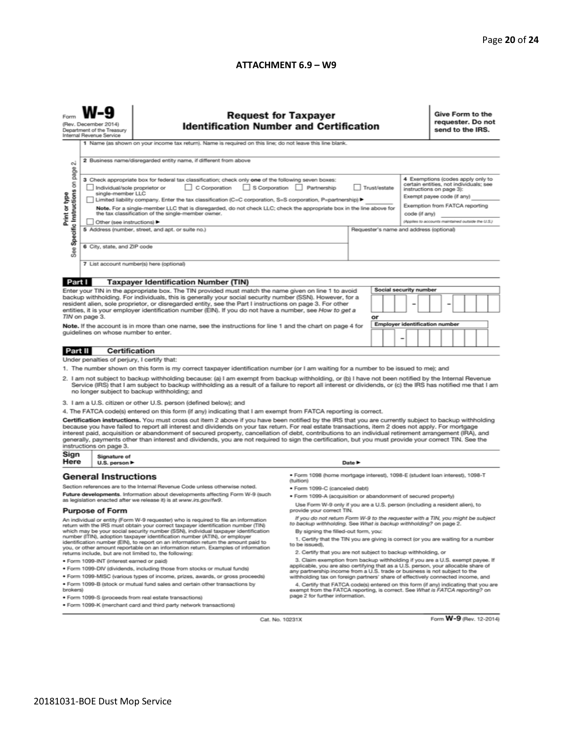#### **ATTACHMENT 6.9 – W9**

| (Rev. December 2014)<br><b>Identification Number and Certification</b><br>Department of the Treasury<br>Internal Revenue Service<br>1 Name (as shown on your income tax return). Name is required on this line; do not leave this line blank.<br>2 Business name/disregarded entity name, if different from above<br>N                                                                                                                                                                                                                                                                                                                                                                                                                                                                                                                                                                                                                                                                                                                                                                                                                                                                                                                                                                                                                                                                                                                                                                                                                                                                                                                                                                                                                                                                                                                                                                                                                             | requester. Do not<br>send to the IRS.                                                                                                                              |  |  |  |
|----------------------------------------------------------------------------------------------------------------------------------------------------------------------------------------------------------------------------------------------------------------------------------------------------------------------------------------------------------------------------------------------------------------------------------------------------------------------------------------------------------------------------------------------------------------------------------------------------------------------------------------------------------------------------------------------------------------------------------------------------------------------------------------------------------------------------------------------------------------------------------------------------------------------------------------------------------------------------------------------------------------------------------------------------------------------------------------------------------------------------------------------------------------------------------------------------------------------------------------------------------------------------------------------------------------------------------------------------------------------------------------------------------------------------------------------------------------------------------------------------------------------------------------------------------------------------------------------------------------------------------------------------------------------------------------------------------------------------------------------------------------------------------------------------------------------------------------------------------------------------------------------------------------------------------------------------|--------------------------------------------------------------------------------------------------------------------------------------------------------------------|--|--|--|
| Specific Instructions on page<br>3 Check appropriate box for federal tax classification; check only one of the following seven boxes:<br>C Corporation<br>S Corporation Partnership<br>Trust/estate<br>Individual/sole proprietor or<br>instructions on page 3):<br>single-member LLC<br>Print or type<br>Exempt payee code (if any)<br>Limited liability company. Enter the tax classification (C=C corporation, S=S corporation, P=partnership) ▶<br>Note. For a single-member LLC that is disregarded, do not check LLC; check the appropriate box in the line above for<br>the tax classification of the single-member owner.<br>code (if any)<br>Other (see instructions) ▶<br>5 Address (number, street, and apt. or suite no.)<br>Requester's name and address (optional)<br>6 City, state, and ZIP code<br>See<br>7 List account number(s) here (optional)                                                                                                                                                                                                                                                                                                                                                                                                                                                                                                                                                                                                                                                                                                                                                                                                                                                                                                                                                                                                                                                                                 | 4 Exemptions (codes apply only to<br>certain entities, not individuals; see<br>Exemption from FATCA reporting<br>(Applies to accounts maintained outside the U.S.) |  |  |  |
|                                                                                                                                                                                                                                                                                                                                                                                                                                                                                                                                                                                                                                                                                                                                                                                                                                                                                                                                                                                                                                                                                                                                                                                                                                                                                                                                                                                                                                                                                                                                                                                                                                                                                                                                                                                                                                                                                                                                                    |                                                                                                                                                                    |  |  |  |
| Part I<br><b>Taxpayer Identification Number (TIN)</b><br>Social security number<br>Enter your TIN in the appropriate box. The TIN provided must match the name given on line 1 to avoid<br>backup withholding. For individuals, this is generally your social security number (SSN). However, for a<br>resident alien, sole proprietor, or disregarded entity, see the Part I instructions on page 3. For other<br>entities, it is your employer identification number (EIN). If you do not have a number, see How to get a<br>TIN on page 3.<br>or<br>Employer identification number<br>Note. If the account is in more than one name, see the instructions for line 1 and the chart on page 4 for<br>guidelines on whose number to enter.<br>-                                                                                                                                                                                                                                                                                                                                                                                                                                                                                                                                                                                                                                                                                                                                                                                                                                                                                                                                                                                                                                                                                                                                                                                                   |                                                                                                                                                                    |  |  |  |
|                                                                                                                                                                                                                                                                                                                                                                                                                                                                                                                                                                                                                                                                                                                                                                                                                                                                                                                                                                                                                                                                                                                                                                                                                                                                                                                                                                                                                                                                                                                                                                                                                                                                                                                                                                                                                                                                                                                                                    |                                                                                                                                                                    |  |  |  |
| <b>Certification</b><br>Part II                                                                                                                                                                                                                                                                                                                                                                                                                                                                                                                                                                                                                                                                                                                                                                                                                                                                                                                                                                                                                                                                                                                                                                                                                                                                                                                                                                                                                                                                                                                                                                                                                                                                                                                                                                                                                                                                                                                    |                                                                                                                                                                    |  |  |  |
| Under penalties of perjury, I certify that:<br>1. The number shown on this form is my correct taxpayer identification number (or I am waiting for a number to be issued to me); and<br>2. I am not subject to backup withholding because: (a) I am exempt from backup withholding, or (b) I have not been notified by the Internal Revenue<br>Service (IRS) that I am subject to backup withholding as a result of a failure to report all interest or dividends, or (c) the IRS has notified me that I am<br>no longer subject to backup withholding; and<br>3. I am a U.S. citizen or other U.S. person (defined below); and<br>4. The FATCA code(s) entered on this form (if any) indicating that I am exempt from FATCA reporting is correct.<br>Certification instructions. You must cross out item 2 above if you have been notified by the IRS that you are currently subject to backup withholding<br>because you have failed to report all interest and dividends on your tax return. For real estate transactions, item 2 does not apply. For mortgage<br>interest paid, acquisition or abandonment of secured property, cancellation of debt, contributions to an individual retirement arrangement (IRA), and<br>generally, payments other than interest and dividends, you are not required to sign the certification, but you must provide your correct TIN. See the<br>instructions on page 3.                                                                                                                                                                                                                                                                                                                                                                                                                                                                                                                                      |                                                                                                                                                                    |  |  |  |
| Sign<br>Signature of                                                                                                                                                                                                                                                                                                                                                                                                                                                                                                                                                                                                                                                                                                                                                                                                                                                                                                                                                                                                                                                                                                                                                                                                                                                                                                                                                                                                                                                                                                                                                                                                                                                                                                                                                                                                                                                                                                                               |                                                                                                                                                                    |  |  |  |
| Here<br>U.S. person ▶<br>Date P<br>· Form 1098 (home mortgage interest), 1098-E (student Ioan interest), 1098-T<br><b>General Instructions</b>                                                                                                                                                                                                                                                                                                                                                                                                                                                                                                                                                                                                                                                                                                                                                                                                                                                                                                                                                                                                                                                                                                                                                                                                                                                                                                                                                                                                                                                                                                                                                                                                                                                                                                                                                                                                     |                                                                                                                                                                    |  |  |  |
| (tuition)<br>Section references are to the Internal Revenue Code unless otherwise noted.<br>• Form 1099-C (canceled debt)<br>Future developments. Information about developments affecting Form W-9 (such<br>. Form 1099-A (acquisition or abandonment of secured property)<br>as legislation enacted after we release it) is at www.irs.gov/fw9.<br>Use Form W-9 only if you are a U.S. person (including a resident alien), to<br>provide your correct TIN.<br><b>Purpose of Form</b>                                                                                                                                                                                                                                                                                                                                                                                                                                                                                                                                                                                                                                                                                                                                                                                                                                                                                                                                                                                                                                                                                                                                                                                                                                                                                                                                                                                                                                                            |                                                                                                                                                                    |  |  |  |
| If you do not return Form W-9 to the requester with a TIN, you might be subject<br>An individual or entity (Form W-9 requester) who is required to file an information<br>to backup withholding. See What is backup withholding? on page 2.<br>return with the IRS must obtain your correct taxpayer identification number (TIN)<br>which may be your social security number (SSN), individual taxpayer identification<br>By signing the filled-out form, you:<br>number (ITIN), adoption taxpayer identification number (ATIN), or employer<br>1. Certify that the TIN you are giving is correct (or you are waiting for a number<br>identification number (EIN), to report on an information return the amount paid to<br>to be issued).<br>you, or other amount reportable on an information return. Examples of information<br>2. Certify that you are not subject to backup withholding, or<br>returns include, but are not limited to, the following:<br>3. Claim exemption from backup withholding if you are a U.S. exempt payee. If<br>· Form 1099-INT (interest earned or paid)<br>applicable, you are also certifying that as a U.S. person, your allocable share of<br>. Form 1099-DIV (dividends, including those from stocks or mutual funds)<br>any partnership income from a U.S. trade or business is not subject to the<br>* Form 1099-MISC (various types of income, prizes, awards, or gross proceeds)<br>withholding tax on foreign partners' share of effectively connected income, and<br>. Form 1099-B (stock or mutual fund sales and certain other transactions by<br>4. Certify that FATCA code(s) entered on this form (if any) indicating that you are<br>brokers)<br>exempt from the FATCA reporting, is correct. See What is FATCA reporting? on<br>page 2 for further information.<br>· Form 1099-S (proceeds from real estate transactions)<br>. Form 1099-K (merchant card and third party network transactions) |                                                                                                                                                                    |  |  |  |

Cat. No. 10231X

Form **W-9** (Rev. 12-2014)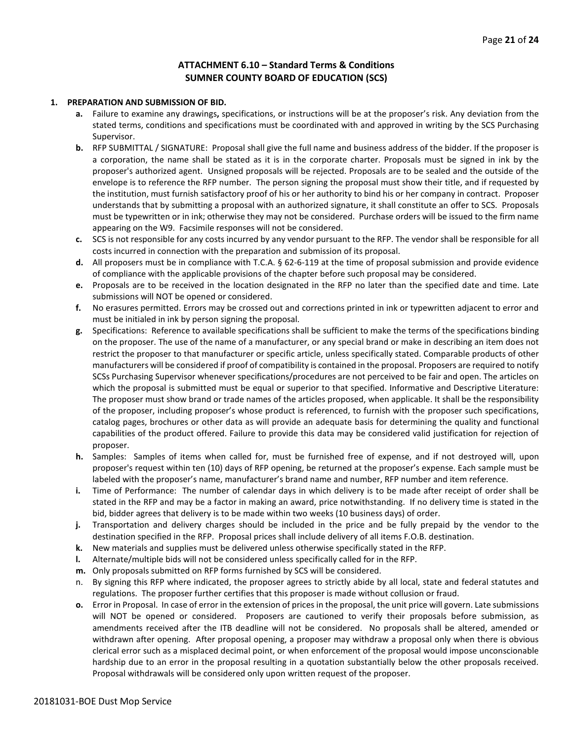# **ATTACHMENT 6.10 – Standard Terms & Conditions SUMNER COUNTY BOARD OF EDUCATION (SCS)**

#### **1. PREPARATION AND SUBMISSION OF BID.**

- **a.** Failure to examine any drawings**,** specifications, or instructions will be at the proposer's risk. Any deviation from the stated terms, conditions and specifications must be coordinated with and approved in writing by the SCS Purchasing Supervisor.
- **b.** RFP SUBMITTAL / SIGNATURE: Proposal shall give the full name and business address of the bidder. If the proposer is a corporation, the name shall be stated as it is in the corporate charter. Proposals must be signed in ink by the proposer's authorized agent. Unsigned proposals will be rejected. Proposals are to be sealed and the outside of the envelope is to reference the RFP number. The person signing the proposal must show their title, and if requested by the institution, must furnish satisfactory proof of his or her authority to bind his or her company in contract. Proposer understands that by submitting a proposal with an authorized signature, it shall constitute an offer to SCS. Proposals must be typewritten or in ink; otherwise they may not be considered. Purchase orders will be issued to the firm name appearing on the W9. Facsimile responses will not be considered.
- **c.** SCS is not responsible for any costs incurred by any vendor pursuant to the RFP. The vendor shall be responsible for all costs incurred in connection with the preparation and submission of its proposal.
- **d.** All proposers must be in compliance with T.C.A. § 62-6-119 at the time of proposal submission and provide evidence of compliance with the applicable provisions of the chapter before such proposal may be considered.
- **e.** Proposals are to be received in the location designated in the RFP no later than the specified date and time. Late submissions will NOT be opened or considered.
- **f.** No erasures permitted. Errors may be crossed out and corrections printed in ink or typewritten adjacent to error and must be initialed in ink by person signing the proposal.
- **g.** Specifications: Reference to available specifications shall be sufficient to make the terms of the specifications binding on the proposer. The use of the name of a manufacturer, or any special brand or make in describing an item does not restrict the proposer to that manufacturer or specific article, unless specifically stated. Comparable products of other manufacturers will be considered if proof of compatibility is contained in the proposal. Proposers are required to notify SCSs Purchasing Supervisor whenever specifications/procedures are not perceived to be fair and open. The articles on which the proposal is submitted must be equal or superior to that specified. Informative and Descriptive Literature: The proposer must show brand or trade names of the articles proposed, when applicable. It shall be the responsibility of the proposer, including proposer's whose product is referenced, to furnish with the proposer such specifications, catalog pages, brochures or other data as will provide an adequate basis for determining the quality and functional capabilities of the product offered. Failure to provide this data may be considered valid justification for rejection of proposer.
- **h.** Samples: Samples of items when called for, must be furnished free of expense, and if not destroyed will, upon proposer's request within ten (10) days of RFP opening, be returned at the proposer's expense. Each sample must be labeled with the proposer's name, manufacturer's brand name and number, RFP number and item reference.
- **i.** Time of Performance: The number of calendar days in which delivery is to be made after receipt of order shall be stated in the RFP and may be a factor in making an award, price notwithstanding. If no delivery time is stated in the bid, bidder agrees that delivery is to be made within two weeks (10 business days) of order.
- **j.** Transportation and delivery charges should be included in the price and be fully prepaid by the vendor to the destination specified in the RFP. Proposal prices shall include delivery of all items F.O.B. destination.
- **k.** New materials and supplies must be delivered unless otherwise specifically stated in the RFP.
- **l.** Alternate/multiple bids will not be considered unless specifically called for in the RFP.
- **m.** Only proposals submitted on RFP forms furnished by SCS will be considered.
- n. By signing this RFP where indicated, the proposer agrees to strictly abide by all local, state and federal statutes and regulations. The proposer further certifies that this proposer is made without collusion or fraud.
- **o.** Error in Proposal. In case of error in the extension of prices in the proposal, the unit price will govern. Late submissions will NOT be opened or considered. Proposers are cautioned to verify their proposals before submission, as amendments received after the ITB deadline will not be considered. No proposals shall be altered, amended or withdrawn after opening. After proposal opening, a proposer may withdraw a proposal only when there is obvious clerical error such as a misplaced decimal point, or when enforcement of the proposal would impose unconscionable hardship due to an error in the proposal resulting in a quotation substantially below the other proposals received. Proposal withdrawals will be considered only upon written request of the proposer.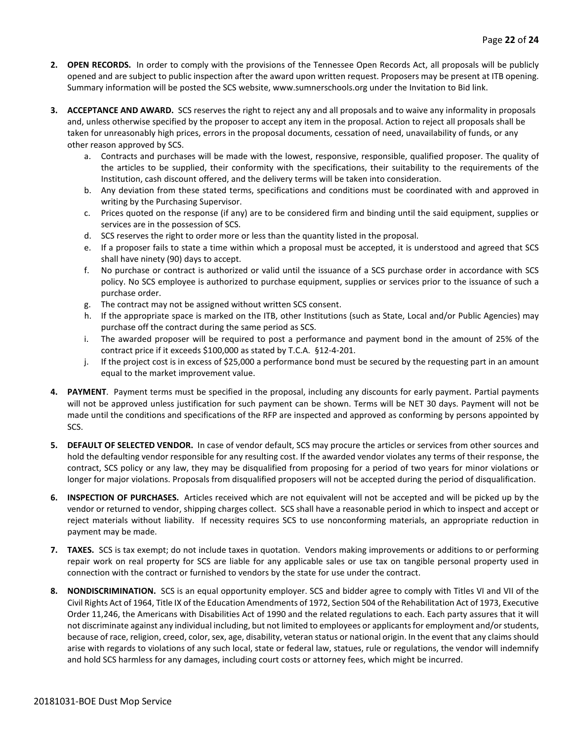- **2. OPEN RECORDS.** In order to comply with the provisions of the Tennessee Open Records Act, all proposals will be publicly opened and are subject to public inspection after the award upon written request. Proposers may be present at ITB opening. Summary information will be posted the SCS website, www.sumnerschools.org under the Invitation to Bid link.
- **3. ACCEPTANCE AND AWARD.** SCS reserves the right to reject any and all proposals and to waive any informality in proposals and, unless otherwise specified by the proposer to accept any item in the proposal. Action to reject all proposals shall be taken for unreasonably high prices, errors in the proposal documents, cessation of need, unavailability of funds, or any other reason approved by SCS.
	- a. Contracts and purchases will be made with the lowest, responsive, responsible, qualified proposer. The quality of the articles to be supplied, their conformity with the specifications, their suitability to the requirements of the Institution, cash discount offered, and the delivery terms will be taken into consideration.
	- b. Any deviation from these stated terms, specifications and conditions must be coordinated with and approved in writing by the Purchasing Supervisor.
	- c. Prices quoted on the response (if any) are to be considered firm and binding until the said equipment, supplies or services are in the possession of SCS.
	- d. SCS reserves the right to order more or less than the quantity listed in the proposal.
	- e. If a proposer fails to state a time within which a proposal must be accepted, it is understood and agreed that SCS shall have ninety (90) days to accept.
	- f. No purchase or contract is authorized or valid until the issuance of a SCS purchase order in accordance with SCS policy. No SCS employee is authorized to purchase equipment, supplies or services prior to the issuance of such a purchase order.
	- g. The contract may not be assigned without written SCS consent.
	- h. If the appropriate space is marked on the ITB, other Institutions (such as State, Local and/or Public Agencies) may purchase off the contract during the same period as SCS.
	- i. The awarded proposer will be required to post a performance and payment bond in the amount of 25% of the contract price if it exceeds \$100,000 as stated by T.C.A. §12-4-201.
	- j. If the project cost is in excess of \$25,000 a performance bond must be secured by the requesting part in an amount equal to the market improvement value.
- **4. PAYMENT**. Payment terms must be specified in the proposal, including any discounts for early payment. Partial payments will not be approved unless justification for such payment can be shown. Terms will be NET 30 days. Payment will not be made until the conditions and specifications of the RFP are inspected and approved as conforming by persons appointed by SCS.
- **5. DEFAULT OF SELECTED VENDOR.** In case of vendor default, SCS may procure the articles or services from other sources and hold the defaulting vendor responsible for any resulting cost. If the awarded vendor violates any terms of their response, the contract, SCS policy or any law, they may be disqualified from proposing for a period of two years for minor violations or longer for major violations. Proposals from disqualified proposers will not be accepted during the period of disqualification.
- **6. INSPECTION OF PURCHASES.** Articles received which are not equivalent will not be accepted and will be picked up by the vendor or returned to vendor, shipping charges collect. SCS shall have a reasonable period in which to inspect and accept or reject materials without liability. If necessity requires SCS to use nonconforming materials, an appropriate reduction in payment may be made.
- **7. TAXES.** SCS is tax exempt; do not include taxes in quotation. Vendors making improvements or additions to or performing repair work on real property for SCS are liable for any applicable sales or use tax on tangible personal property used in connection with the contract or furnished to vendors by the state for use under the contract.
- **8. NONDISCRIMINATION.** SCS is an equal opportunity employer. SCS and bidder agree to comply with Titles VI and VII of the Civil Rights Act of 1964, Title IX of the Education Amendments of 1972, Section 504 of the Rehabilitation Act of 1973, Executive Order 11,246, the Americans with Disabilities Act of 1990 and the related regulations to each. Each party assures that it will not discriminate against any individual including, but not limited to employees or applicants for employment and/or students, because of race, religion, creed, color, sex, age, disability, veteran status or national origin. In the event that any claims should arise with regards to violations of any such local, state or federal law, statues, rule or regulations, the vendor will indemnify and hold SCS harmless for any damages, including court costs or attorney fees, which might be incurred.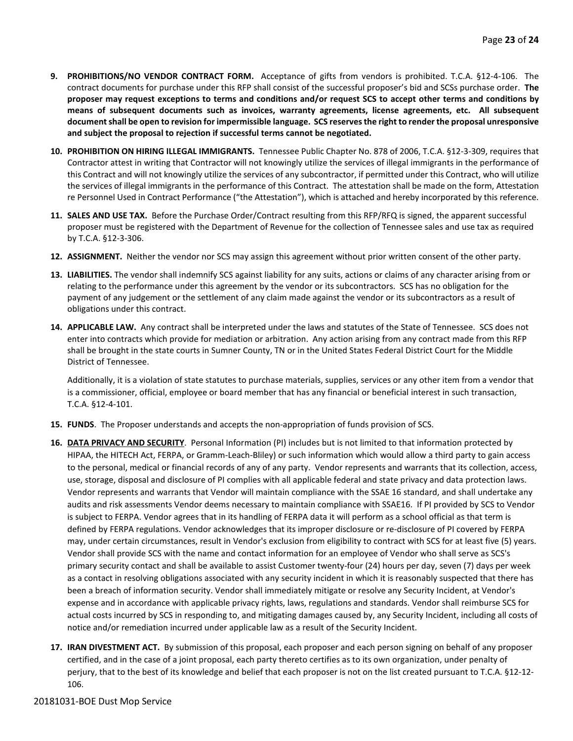- **9. PROHIBITIONS/NO VENDOR CONTRACT FORM.** Acceptance of gifts from vendors is prohibited. T.C.A. §12-4-106. The contract documents for purchase under this RFP shall consist of the successful proposer's bid and SCSs purchase order. **The proposer may request exceptions to terms and conditions and/or request SCS to accept other terms and conditions by means of subsequent documents such as invoices, warranty agreements, license agreements, etc. All subsequent document shall be open to revision for impermissible language. SCS reserves the right to render the proposal unresponsive and subject the proposal to rejection if successful terms cannot be negotiated.**
- **10. PROHIBITION ON HIRING ILLEGAL IMMIGRANTS.** Tennessee Public Chapter No. 878 of 2006, T.C.A. §12-3-309, requires that Contractor attest in writing that Contractor will not knowingly utilize the services of illegal immigrants in the performance of this Contract and will not knowingly utilize the services of any subcontractor, if permitted under this Contract, who will utilize the services of illegal immigrants in the performance of this Contract. The attestation shall be made on the form, Attestation re Personnel Used in Contract Performance ("the Attestation"), which is attached and hereby incorporated by this reference.
- **11. SALES AND USE TAX.** Before the Purchase Order/Contract resulting from this RFP/RFQ is signed, the apparent successful proposer must be registered with the Department of Revenue for the collection of Tennessee sales and use tax as required by T.C.A. §12-3-306.
- **12. ASSIGNMENT.** Neither the vendor nor SCS may assign this agreement without prior written consent of the other party.
- **13. LIABILITIES.** The vendor shall indemnify SCS against liability for any suits, actions or claims of any character arising from or relating to the performance under this agreement by the vendor or its subcontractors. SCS has no obligation for the payment of any judgement or the settlement of any claim made against the vendor or its subcontractors as a result of obligations under this contract.
- **14. APPLICABLE LAW.** Any contract shall be interpreted under the laws and statutes of the State of Tennessee. SCS does not enter into contracts which provide for mediation or arbitration. Any action arising from any contract made from this RFP shall be brought in the state courts in Sumner County, TN or in the United States Federal District Court for the Middle District of Tennessee.

Additionally, it is a violation of state statutes to purchase materials, supplies, services or any other item from a vendor that is a commissioner, official, employee or board member that has any financial or beneficial interest in such transaction, T.C.A. §12-4-101.

- **15. FUNDS**. The Proposer understands and accepts the non-appropriation of funds provision of SCS.
- **16. DATA PRIVACY AND SECURITY**. Personal Information (PI) includes but is not limited to that information protected by HIPAA, the HITECH Act, FERPA, or Gramm-Leach-Bliley) or such information which would allow a third party to gain access to the personal, medical or financial records of any of any party. Vendor represents and warrants that its collection, access, use, storage, disposal and disclosure of PI complies with all applicable federal and state privacy and data protection laws. Vendor represents and warrants that Vendor will maintain compliance with the SSAE 16 standard, and shall undertake any audits and risk assessments Vendor deems necessary to maintain compliance with SSAE16. If PI provided by SCS to Vendor is subject to FERPA. Vendor agrees that in its handling of FERPA data it will perform as a school official as that term is defined by FERPA regulations. Vendor acknowledges that its improper disclosure or re-disclosure of PI covered by FERPA may, under certain circumstances, result in Vendor's exclusion from eligibility to contract with SCS for at least five (5) years. Vendor shall provide SCS with the name and contact information for an employee of Vendor who shall serve as SCS's primary security contact and shall be available to assist Customer twenty-four (24) hours per day, seven (7) days per week as a contact in resolving obligations associated with any security incident in which it is reasonably suspected that there has been a breach of information security. Vendor shall immediately mitigate or resolve any Security Incident, at Vendor's expense and in accordance with applicable privacy rights, laws, regulations and standards. Vendor shall reimburse SCS for actual costs incurred by SCS in responding to, and mitigating damages caused by, any Security Incident, including all costs of notice and/or remediation incurred under applicable law as a result of the Security Incident.
- **17. IRAN DIVESTMENT ACT.** By submission of this proposal, each proposer and each person signing on behalf of any proposer certified, and in the case of a joint proposal, each party thereto certifies as to its own organization, under penalty of perjury, that to the best of its knowledge and belief that each proposer is not on the list created pursuant to T.C.A. §12-12- 106.